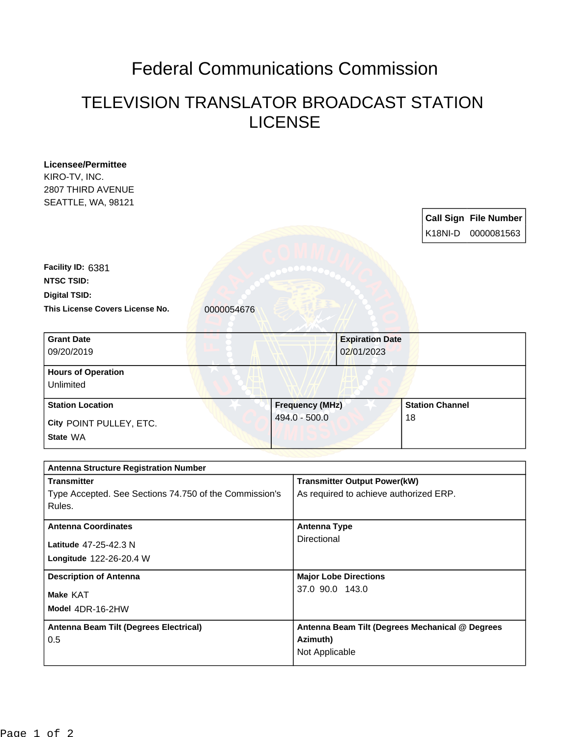## Federal Communications Commission

## TELEVISION TRANSLATOR BROADCAST STATION LICENSE

| <b>Call Sign File Number</b><br>K18NI-D<br>0000081563<br>0000054676<br><b>Grant Date</b><br><b>Expiration Date</b><br>09/20/2019<br>02/01/2023<br><b>Station Channel</b><br><b>Station Location</b><br><b>Frequency (MHz)</b><br>494.0 - 500.0<br>18<br><b>Antenna Structure Registration Number</b><br><b>Transmitter Output Power(kW)</b><br>Type Accepted. See Sections 74.750 of the Commission's<br>As required to achieve authorized ERP.<br>Rules.<br><b>Antenna Coordinates</b><br><b>Antenna Type</b><br>Directional<br>Latitude 47-25-42.3 N<br>Longitude 122-26-20.4 W<br><b>Description of Antenna</b><br><b>Major Lobe Directions</b><br>37.0 90.0 143.0<br>Model 4DR-16-2HW | <b>Licensee/Permittee</b>       |  |  |  |  |  |  |  |
|-------------------------------------------------------------------------------------------------------------------------------------------------------------------------------------------------------------------------------------------------------------------------------------------------------------------------------------------------------------------------------------------------------------------------------------------------------------------------------------------------------------------------------------------------------------------------------------------------------------------------------------------------------------------------------------------|---------------------------------|--|--|--|--|--|--|--|
|                                                                                                                                                                                                                                                                                                                                                                                                                                                                                                                                                                                                                                                                                           | KIRO-TV, INC.                   |  |  |  |  |  |  |  |
|                                                                                                                                                                                                                                                                                                                                                                                                                                                                                                                                                                                                                                                                                           | 2807 THIRD AVENUE               |  |  |  |  |  |  |  |
|                                                                                                                                                                                                                                                                                                                                                                                                                                                                                                                                                                                                                                                                                           | SEATTLE, WA, 98121              |  |  |  |  |  |  |  |
|                                                                                                                                                                                                                                                                                                                                                                                                                                                                                                                                                                                                                                                                                           |                                 |  |  |  |  |  |  |  |
|                                                                                                                                                                                                                                                                                                                                                                                                                                                                                                                                                                                                                                                                                           |                                 |  |  |  |  |  |  |  |
|                                                                                                                                                                                                                                                                                                                                                                                                                                                                                                                                                                                                                                                                                           |                                 |  |  |  |  |  |  |  |
|                                                                                                                                                                                                                                                                                                                                                                                                                                                                                                                                                                                                                                                                                           |                                 |  |  |  |  |  |  |  |
|                                                                                                                                                                                                                                                                                                                                                                                                                                                                                                                                                                                                                                                                                           | Facility ID: 6381               |  |  |  |  |  |  |  |
|                                                                                                                                                                                                                                                                                                                                                                                                                                                                                                                                                                                                                                                                                           | <b>NTSC TSID:</b>               |  |  |  |  |  |  |  |
|                                                                                                                                                                                                                                                                                                                                                                                                                                                                                                                                                                                                                                                                                           | <b>Digital TSID:</b>            |  |  |  |  |  |  |  |
|                                                                                                                                                                                                                                                                                                                                                                                                                                                                                                                                                                                                                                                                                           | This License Covers License No. |  |  |  |  |  |  |  |
|                                                                                                                                                                                                                                                                                                                                                                                                                                                                                                                                                                                                                                                                                           |                                 |  |  |  |  |  |  |  |
|                                                                                                                                                                                                                                                                                                                                                                                                                                                                                                                                                                                                                                                                                           |                                 |  |  |  |  |  |  |  |
|                                                                                                                                                                                                                                                                                                                                                                                                                                                                                                                                                                                                                                                                                           |                                 |  |  |  |  |  |  |  |
|                                                                                                                                                                                                                                                                                                                                                                                                                                                                                                                                                                                                                                                                                           |                                 |  |  |  |  |  |  |  |
|                                                                                                                                                                                                                                                                                                                                                                                                                                                                                                                                                                                                                                                                                           | <b>Hours of Operation</b>       |  |  |  |  |  |  |  |
|                                                                                                                                                                                                                                                                                                                                                                                                                                                                                                                                                                                                                                                                                           | Unlimited                       |  |  |  |  |  |  |  |
|                                                                                                                                                                                                                                                                                                                                                                                                                                                                                                                                                                                                                                                                                           |                                 |  |  |  |  |  |  |  |
|                                                                                                                                                                                                                                                                                                                                                                                                                                                                                                                                                                                                                                                                                           |                                 |  |  |  |  |  |  |  |
|                                                                                                                                                                                                                                                                                                                                                                                                                                                                                                                                                                                                                                                                                           | City POINT PULLEY, ETC.         |  |  |  |  |  |  |  |
|                                                                                                                                                                                                                                                                                                                                                                                                                                                                                                                                                                                                                                                                                           | State WA                        |  |  |  |  |  |  |  |
|                                                                                                                                                                                                                                                                                                                                                                                                                                                                                                                                                                                                                                                                                           |                                 |  |  |  |  |  |  |  |
|                                                                                                                                                                                                                                                                                                                                                                                                                                                                                                                                                                                                                                                                                           |                                 |  |  |  |  |  |  |  |
|                                                                                                                                                                                                                                                                                                                                                                                                                                                                                                                                                                                                                                                                                           | <b>Transmitter</b>              |  |  |  |  |  |  |  |
|                                                                                                                                                                                                                                                                                                                                                                                                                                                                                                                                                                                                                                                                                           |                                 |  |  |  |  |  |  |  |
|                                                                                                                                                                                                                                                                                                                                                                                                                                                                                                                                                                                                                                                                                           |                                 |  |  |  |  |  |  |  |
|                                                                                                                                                                                                                                                                                                                                                                                                                                                                                                                                                                                                                                                                                           |                                 |  |  |  |  |  |  |  |
|                                                                                                                                                                                                                                                                                                                                                                                                                                                                                                                                                                                                                                                                                           |                                 |  |  |  |  |  |  |  |
|                                                                                                                                                                                                                                                                                                                                                                                                                                                                                                                                                                                                                                                                                           |                                 |  |  |  |  |  |  |  |
|                                                                                                                                                                                                                                                                                                                                                                                                                                                                                                                                                                                                                                                                                           |                                 |  |  |  |  |  |  |  |
|                                                                                                                                                                                                                                                                                                                                                                                                                                                                                                                                                                                                                                                                                           |                                 |  |  |  |  |  |  |  |
|                                                                                                                                                                                                                                                                                                                                                                                                                                                                                                                                                                                                                                                                                           |                                 |  |  |  |  |  |  |  |
|                                                                                                                                                                                                                                                                                                                                                                                                                                                                                                                                                                                                                                                                                           | Make KAT                        |  |  |  |  |  |  |  |
|                                                                                                                                                                                                                                                                                                                                                                                                                                                                                                                                                                                                                                                                                           |                                 |  |  |  |  |  |  |  |
|                                                                                                                                                                                                                                                                                                                                                                                                                                                                                                                                                                                                                                                                                           |                                 |  |  |  |  |  |  |  |
| Antenna Beam Tilt (Degrees Electrical)<br>Antenna Beam Tilt (Degrees Mechanical @ Degrees                                                                                                                                                                                                                                                                                                                                                                                                                                                                                                                                                                                                 |                                 |  |  |  |  |  |  |  |
| Azimuth)                                                                                                                                                                                                                                                                                                                                                                                                                                                                                                                                                                                                                                                                                  | 0.5                             |  |  |  |  |  |  |  |
| Not Applicable                                                                                                                                                                                                                                                                                                                                                                                                                                                                                                                                                                                                                                                                            |                                 |  |  |  |  |  |  |  |